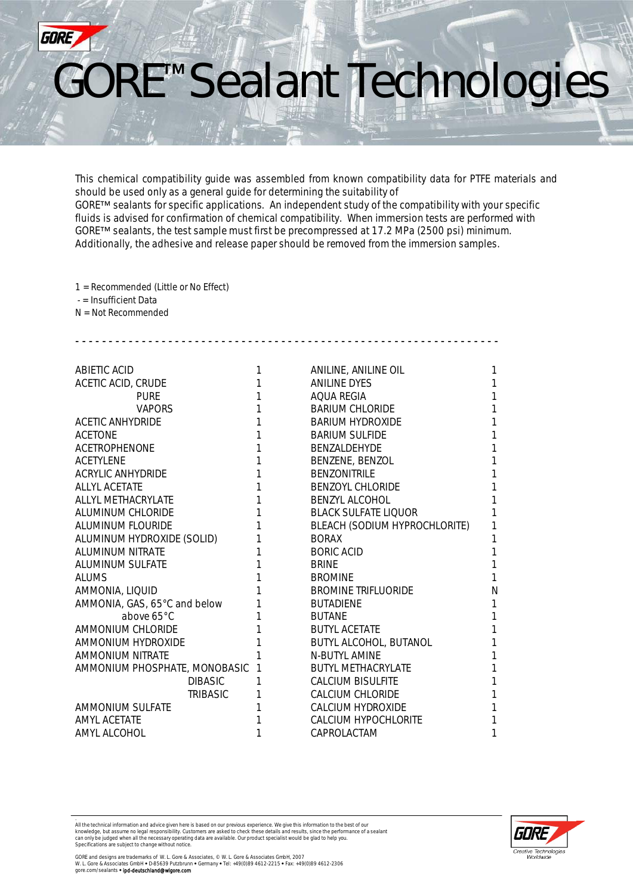

This chemical compatibility guide was assembled from known compatibility data for PTFE materials and should be used only as a general guide for determining the suitability of GORE™ sealants for specific applications. An independent study of the compatibility with your specific fluids is advised for confirmation of chemical compatibility. When immersion tests are performed with GORE™ sealants, the test sample must first be precompressed at 17.2 MPa (2500 psi) minimum. Additionally, the adhesive and release paper should be removed from the immersion samples.

1 = Recommended (Little or No Effect)

- = Insufficient Data

N = Not Recommended

| ABIETIC ACID                  |   | ANILINE, ANILINE OIL          | 1 |
|-------------------------------|---|-------------------------------|---|
| <b>ACETIC ACID, CRUDE</b>     |   | <b>ANILINE DYES</b>           | 1 |
| <b>PURE</b>                   |   | AOUA REGIA                    | 1 |
| <b>VAPORS</b>                 |   | <b>BARIUM CHLORIDE</b>        | 1 |
| <b>ACETIC ANHYDRIDE</b>       |   | <b>BARIUM HYDROXIDE</b>       | 1 |
| <b>ACETONE</b>                |   | <b>BARIUM SULFIDE</b>         | 1 |
| <b>ACETROPHENONE</b>          |   | <b>BENZALDEHYDE</b>           | 1 |
| <b>ACETYLENE</b>              |   | BENZENE, BENZOL               | 1 |
| ACRYLIC ANHYDRIDE             |   | <b>BENZONITRILE</b>           | 1 |
| ALLYL ACETATE                 |   | <b>BENZOYL CHLORIDE</b>       | 1 |
| ALLYL METHACRYLATE            |   | <b>BENZYL ALCOHOL</b>         | 1 |
| ALUMINUM CHLORIDE             |   | <b>BLACK SULFATE LIOUOR</b>   | 1 |
| <b>ALUMINUM FLOURIDE</b>      |   | BLEACH (SODIUM HYPROCHLORITE) | 1 |
| ALUMINUM HYDROXIDE (SOLID)    |   | <b>BORAX</b>                  | 1 |
| ALUMINUM NITRATE              |   | BORIC ACID                    | 1 |
| <b>ALUMINUM SULFATE</b>       |   | <b>BRINE</b>                  |   |
| <b>ALUMS</b>                  |   | <b>BROMINE</b>                | 1 |
| AMMONIA, LIQUID               |   | <b>BROMINE TRIFLUORIDE</b>    | N |
| AMMONIA, GAS, 65°C and below  |   | <b>BUTADIENE</b>              | 1 |
| above 65°C                    |   | <b>BUTANE</b>                 | 1 |
| AMMONIUM CHLORIDE             |   | <b>BUTYL ACETATE</b>          | 1 |
| AMMONIUM HYDROXIDE            |   | BUTYL ALCOHOL, BUTANOL        | 1 |
| <b>AMMONIUM NITRATE</b>       |   | <b>N-BUTYL AMINE</b>          | 1 |
| AMMONIUM PHOSPHATE, MONOBASIC | 1 | <b>BUTYL METHACRYLATE</b>     | 1 |
| <b>DIBASIC</b>                | 1 | <b>CALCIUM BISULFITE</b>      | 1 |
| TRIBASIC                      |   | <b>CALCIUM CHLORIDE</b>       | 1 |
| <b>AMMONIUM SULFATE</b>       |   | CALCIUM HYDROXIDE             | 1 |
| <b>AMYL ACETATE</b>           |   | CALCIUM HYPOCHLORITE          | 1 |
| AMYL ALCOHOL                  |   | CAPROLACTAM                   | 1 |

- - - - - - - - - - - - - - - - - - - - - - - - - - - - - - - - - - - - - - - - - - - - - - - - - - - - - - - - - - - - - - - -

.<br>All the technical information and advice given here is based on our previous experience. We give this information to the best of our<br>knowledge, but assume no legal responsibility. Customers are asked to check these detai

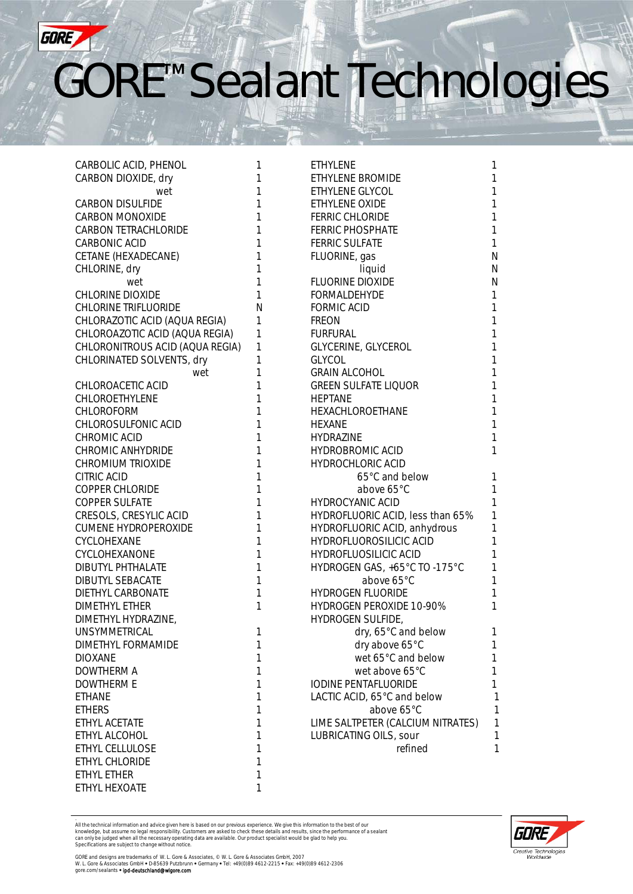

| CARBOLIC ACID, PHENOL           | 1 | <b>ETHYLENE</b>                   | 1            |
|---------------------------------|---|-----------------------------------|--------------|
| CARBON DIOXIDE, dry             | 1 | ETHYLENE BROMIDE                  | $\mathbf{1}$ |
| wet                             | 1 | ETHYLENE GLYCOL                   | $\mathbf{1}$ |
| <b>CARBON DISULFIDE</b>         | 1 | ETHYLENE OXIDE                    | $\mathbf{1}$ |
| <b>CARBON MONOXIDE</b>          | 1 | <b>FERRIC CHLORIDE</b>            | $\mathbf{1}$ |
| CARBON TETRACHLORIDE            | 1 | <b>FERRIC PHOSPHATE</b>           | $\mathbf{1}$ |
| CARBONIC ACID                   | 1 | <b>FERRIC SULFATE</b>             | $\mathbf{1}$ |
| CETANE (HEXADECANE)             | 1 | FLUORINE, gas                     | $\mathsf{N}$ |
| CHLORINE, dry                   | 1 | liquid                            | $\mathsf N$  |
| wet                             | 1 | FLUORINE DIOXIDE                  | ${\sf N}$    |
| CHLORINE DIOXIDE                | 1 | <b>FORMALDEHYDE</b>               | $\mathbf{1}$ |
| <b>CHLORINE TRIFLUORIDE</b>     | N | <b>FORMIC ACID</b>                | $\mathbf{1}$ |
| CHLORAZOTIC ACID (AQUA REGIA)   | 1 | <b>FREON</b>                      | $\mathbf{1}$ |
| CHLOROAZOTIC ACID (AQUA REGIA)  | 1 | <b>FURFURAL</b>                   | $\mathbf{1}$ |
| CHLORONITROUS ACID (AQUA REGIA) | 1 | GLYCERINE, GLYCEROL               | $\mathbf{1}$ |
| CHLORINATED SOLVENTS, dry       | 1 | <b>GLYCOL</b>                     | $\mathbf{1}$ |
| wet                             | 1 | <b>GRAIN ALCOHOL</b>              | $\mathbf{1}$ |
| CHLOROACETIC ACID               | 1 | <b>GREEN SULFATE LIQUOR</b>       | $\mathbf{1}$ |
| CHLOROETHYLENE                  | 1 | <b>HEPTANE</b>                    | $\mathbf{1}$ |
| <b>CHLOROFORM</b>               | 1 | HEXACHLOROETHANE                  | $\mathbf{1}$ |
| CHLOROSULFONIC ACID             | 1 | <b>HEXANE</b>                     | $\mathbf{1}$ |
| CHROMIC ACID                    | 1 | <b>HYDRAZINE</b>                  | $\mathbf{1}$ |
| CHROMIC ANHYDRIDE               | 1 | <b>HYDROBROMIC ACID</b>           | $\mathbf{1}$ |
| <b>CHROMIUM TRIOXIDE</b>        | 1 | <b>HYDROCHLORIC ACID</b>          |              |
| CITRIC ACID                     | 1 | 65°C and below                    | $\mathbf{1}$ |
| <b>COPPER CHLORIDE</b>          | 1 | above 65°C                        | 1            |
| <b>COPPER SULFATE</b>           | 1 | <b>HYDROCYANIC ACID</b>           | 1            |
| CRESOLS, CRESYLIC ACID          | 1 | HYDROFLUORIC ACID, less than 65%  | $\mathbf{1}$ |
| <b>CUMENE HYDROPEROXIDE</b>     | 1 | HYDROFLUORIC ACID, anhydrous      | $\mathbf{1}$ |
| CYCLOHEXANE                     | 1 | HYDROFLUOROSILICIC ACID           | $\mathbf{1}$ |
| CYCLOHEXANONE                   | 1 | <b>HYDROFLUOSILICIC ACID</b>      | $\mathbf{1}$ |
| DIBUTYL PHTHALATE               | 1 | HYDROGEN GAS, +65°C TO -175°C     | $\mathbf{1}$ |
| DIBUTYL SEBACATE                | 1 | above 65°C                        | $\mathbf{1}$ |
| DIETHYL CARBONATE               | 1 | <b>HYDROGEN FLUORIDE</b>          | $\mathbf{1}$ |
| <b>DIMETHYL ETHER</b>           | 1 | HYDROGEN PEROXIDE 10-90%          | 1            |
| DIMETHYL HYDRAZINE,             |   | <b>HYDROGEN SULFIDE,</b>          |              |
| UNSYMMETRICAL                   | 1 | dry, 65°C and below               | 1            |
| DIMETHYL FORMAMIDE              | 1 | dry above 65°C                    | 1            |
| <b>DIOXANE</b>                  | 1 | wet 65°C and below                | 1            |
| <b>DOWTHERM A</b>               | 1 | wet above 65°C                    | 1            |
| <b>DOWTHERM E</b>               | 1 | <b>IODINE PENTAFLUORIDE</b>       | 1            |
| <b>ETHANE</b>                   | 1 | LACTIC ACID, 65°C and below       | 1            |
| <b>ETHERS</b>                   | 1 | above 65°C                        | 1            |
| ETHYL ACETATE                   | 1 | LIME SALTPETER (CALCIUM NITRATES) | 1            |
| ETHYL ALCOHOL                   | 1 | LUBRICATING OILS, sour            | 1            |
| ETHYL CELLULOSE                 | 1 | refined                           | 1            |
| ETHYL CHLORIDE                  | 1 |                                   |              |
| ETHYL ETHER                     | 1 |                                   |              |
| <b>FTHYL HEXOATE</b>            |   |                                   |              |
|                                 |   |                                   |              |

.<br>All the technical information and advice given here is based on our previous experience. We give this information to the best of our<br>knowledge, but assume no legal responsibility. Customers are asked to check these detai



GORE and designs are trademarks of W. L. Gore & Associates, © W. L. Gore & Associates GmbH, 2007<br>W. L. Gore & Associates GmbH ● D-85639 Putzbrunn ● Germany ● Tel: +49(0)89 4612-2215 ● Fax: +49(0)89 4612-2306<br>gore.com/seal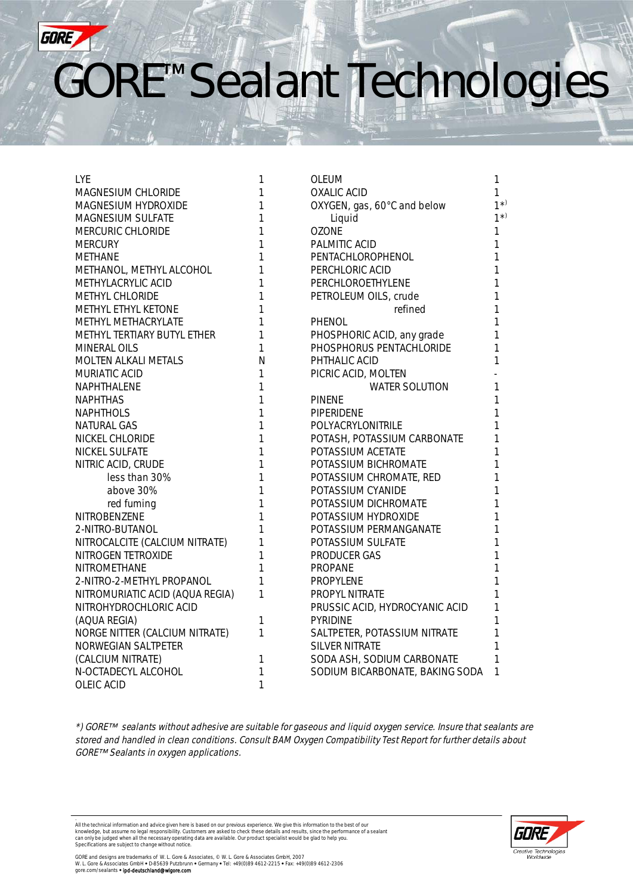

| <b>LYE</b>                      | 1            | <b>OLEUM</b>                    | 1       |
|---------------------------------|--------------|---------------------------------|---------|
| MAGNESIUM CHLORIDE              | 1            | <b>OXALIC ACID</b>              | 1       |
| MAGNESIUM HYDROXIDE             | 1            | OXYGEN, gas, 60°C and below     | $1^{*}$ |
| <b>MAGNESIUM SULFATE</b>        | 1            | Liquid                          | $1^{*}$ |
| MERCURIC CHLORIDE               | 1            | <b>OZONE</b>                    | 1       |
| <b>MERCURY</b>                  | 1            | PALMITIC ACID                   | 1       |
| <b>METHANE</b>                  | 1            | PENTACHLOROPHENOL               | 1       |
| METHANOL, METHYL ALCOHOL        | 1            | PERCHLORIC ACID                 | 1       |
| METHYLACRYLIC ACID              | 1            | PERCHLOROETHYLENE               | 1       |
| METHYL CHLORIDE                 | 1            | PETROLEUM OILS, crude           | 1       |
| METHYL ETHYL KETONE             | 1            | refined                         | 1       |
| <b>METHYL METHACRYLATE</b>      | 1            | PHENOL                          | 1       |
| METHYL TERTIARY BUTYL ETHER     | 1            | PHOSPHORIC ACID, any grade      | 1       |
| <b>MINERAL OILS</b>             | 1            | PHOSPHORUS PENTACHLORIDE        | 1       |
| <b>MOLTEN ALKALI METALS</b>     | N            | PHTHALIC ACID                   | 1       |
| MURIATIC ACID                   | 1            | PICRIC ACID, MOLTEN             |         |
| NAPHTHALENE                     | 1            | <b>WATER SOLUTION</b>           | 1       |
| NAPHTHAS                        | 1            | <b>PINENE</b>                   | 1       |
| <b>NAPHTHOLS</b>                | 1            | PIPERIDENE                      | 1       |
| <b>NATURAL GAS</b>              | 1            | POLYACRYLONITRILE               | 1       |
| <b>NICKEL CHLORIDE</b>          | 1            | POTASH, POTASSIUM CARBONATE     | 1       |
| <b>NICKEL SULFATE</b>           | 1            | POTASSIUM ACETATE               | 1       |
| NITRIC ACID, CRUDE              | 1            | POTASSIUM BICHROMATE            | 1       |
| less than 30%                   | $\mathbf{1}$ | POTASSIUM CHROMATE, RED         | 1       |
| above 30%                       | $\mathbf{1}$ | POTASSIUM CYANIDE               | 1       |
| red fuming                      | 1            | POTASSIUM DICHROMATE            | 1       |
| <b>NITROBENZENE</b>             | 1            | POTASSIUM HYDROXIDE             | 1       |
| 2-NITRO-BUTANOL                 | 1            | POTASSIUM PERMANGANATE          | 1       |
| NITROCALCITE (CALCIUM NITRATE)  | 1            | POTASSIUM SULFATE               | 1       |
| NITROGEN TETROXIDE              | 1            | <b>PRODUCER GAS</b>             | 1       |
| NITROMETHANE                    | 1            | <b>PROPANE</b>                  | 1       |
| 2-NITRO-2-METHYL PROPANOL       | 1            | <b>PROPYLENE</b>                | 1       |
| NITROMURIATIC ACID (AQUA REGIA) | 1            | PROPYL NITRATE                  | 1       |
| NITROHYDROCHLORIC ACID          |              | PRUSSIC ACID, HYDROCYANIC ACID  | 1       |
| (AQUA REGIA)                    | 1            | PYRIDINE                        | 1       |
| NORGE NITTER (CALCIUM NITRATE)  | 1            | SALTPETER, POTASSIUM NITRATE    | 1       |
| NORWEGIAN SALTPETER             |              | <b>SILVER NITRATE</b>           | 1       |
| (CALCIUM NITRATE)               | 1            | SODA ASH, SODIUM CARBONATE      | 1       |
| N-OCTADECYL ALCOHOL             | 1            | SODIUM BICARBONATE, BAKING SODA | 1       |
| OLEIC ACID                      | $\mathbf{1}$ |                                 |         |

\*) GORETM sealants without adhesive are suitable for gaseous and liquid oxygen service. Insure that sealants are stored and handled in clean conditions. Consult BAM Oxygen Compatibility Test Report for further details about GORE™ Sealants in oxygen applications.

.<br>All the technical information and advice given here is based on our previous experience. We give this information to the best of our<br>knowledge, but assume no legal responsibility. Customers are asked to check these detai



GORE and designs are trademarks of W. L. Gore & Associates, © W. L. Gore & Associates GmbH, 2007<br>W. L. Gore & Associates GmbH ● D-85639 Putzbrunn ● Germany ● Tel: +49(0)89 4612-2215 ● Fax: +49(0)89 4612-2306<br>gore.com/seal